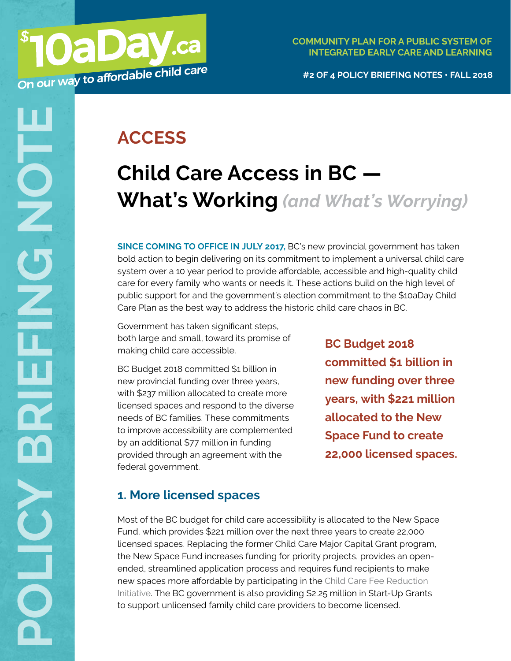**#2 OF 4 POLICY BRIEFING NOTES • FALL 2018**

## **ACCESS**

# **Child Care Access in BC — What's Working** *(and What's Worrying)*

**SINCE COMING TO OFFICE IN JULY 2017,** BC's new provincial government has taken bold action to begin delivering on its commitment to implement a universal child care system over a 10 year period to provide affordable, accessible and high-quality child care for every family who wants or needs it. These actions build on the high level of public support for and the government's election commitment to the \$10aDay Child Care Plan as the best way to address the historic child care chaos in BC.

Government has taken significant steps, both large and small, toward its promise of making child care accessible.

BC Budget 2018 committed \$1 billion in new provincial funding over three years, with \$237 million allocated to create more licensed spaces and respond to the diverse needs of BC families. These commitments to improve accessibility are complemented by an additional \$77 million in funding provided through an agreement with the federal government.

**BC Budget 2018 committed \$1 billion in new funding over three years, with \$221 million allocated to the New Space Fund to create 22,000 licensed spaces.**

## **1. More licensed spaces**

Most of the BC budget for child care accessibility is allocated to the New Space Fund, which provides \$221 million over the next three years to create 22,000 licensed spaces. Replacing the former Child Care Major Capital Grant program, the New Space Fund increases funding for priority projects, provides an openended, streamlined application process and requires fund recipients to make new spaces more affordable by participating in the [Child Care Fee Reduction](https://www.10aday.ca/policy_brief_child_care_affordability_in_bc_whats_working)  [Initiative](https://www.10aday.ca/policy_brief_child_care_affordability_in_bc_whats_working). The BC government is also providing \$2.25 million in Start-Up Grants to support unlicensed family child care providers to become licensed.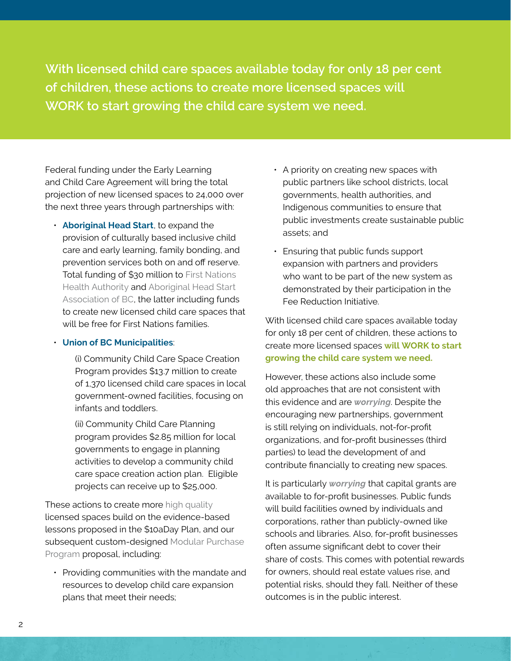**With licensed child care spaces available today for only 18 per cent of children, these actions to create more licensed spaces will WORK to start growing the child care system we need.**

Federal funding under the Early Learning and Child Care Agreement will bring the total projection of new licensed spaces to 24,000 over the next three years through partnerships with:

• **Aboriginal Head Start**, to expand the provision of culturally based inclusive child care and early learning, family bonding, and prevention services both on and off reserve. Total funding of \$30 million to [First Nations](http://www.fnha.ca/)  [Health Authority](http://www.fnha.ca/) and [Aboriginal Head Start](http://www.ahsabc.com)  [Association of BC](http://www.ahsabc.com), the latter including funds to create new licensed child care spaces that will be free for First Nations families.

#### • **Union of BC Municipalities**:

(i) Community Child Care Space Creation Program provides \$13.7 million to create of 1,370 licensed child care spaces in local government-owned facilities, focusing on infants and toddlers.

(ii) Community Child Care Planning program provides \$2.85 million for local governments to engage in planning activities to develop a community child care space creation action plan. Eligible projects can receive up to \$25,000.

These actions to create more [high quality](http://www.childcarequality.ca/wdocs/QbD_PhysicalEnvironments.pdf) licensed spaces build on the evidence-based lessons proposed in the \$10aDay Plan, and our subsequent custom-designed [Modular Purchase](https://www.10aday.ca/a_letter_to_the_minister_of_state_for_child_care)  [Program](https://www.10aday.ca/a_letter_to_the_minister_of_state_for_child_care) proposal, including:

• Providing communities with the mandate and resources to develop child care expansion plans that meet their needs;

- A priority on creating new spaces with public partners like school districts, local governments, health authorities, and Indigenous communities to ensure that public investments create sustainable public assets; and
- Ensuring that public funds support expansion with partners and providers who want to be part of the new system as demonstrated by their participation in the Fee Reduction Initiative.

With licensed child care spaces available today for only 18 per cent of children, these actions to create more licensed spaces **will WORK to start growing the child care system we need.**

However, these actions also include some old approaches that are not consistent with this evidence and are *worrying*. Despite the encouraging new partnerships, government is still relying on individuals, not-for-profit organizations, and for-profit businesses (third parties) to lead the development of and contribute financially to creating new spaces.

It is particularly *worrying* that capital grants are available to for-profit businesses. Public funds will build facilities owned by individuals and corporations, rather than publicly-owned like schools and libraries. Also, for-profit businesses often assume significant debt to cover their share of costs. This comes with potential rewards for owners, should real estate values rise, and potential risks, should they fall. Neither of these outcomes is in the public interest.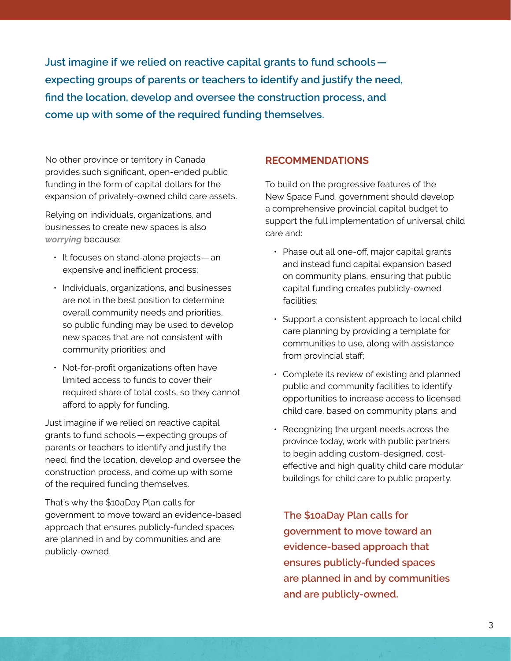**Just imagine if we relied on reactive capital grants to fund schools expecting groups of parents or teachers to identify and justify the need, find the location, develop and oversee the construction process, and come up with some of the required funding themselves.**

No other province or territory in Canada provides such significant, open-ended public funding in the form of capital dollars for the expansion of privately-owned child care assets.

Relying on individuals, organizations, and businesses to create new spaces is also *worrying* because:

- It focuses on stand-alone projects—an expensive and inefficient process;
- Individuals, organizations, and businesses are not in the best position to determine overall community needs and priorities, so public funding may be used to develop new spaces that are not consistent with community priorities; and
- Not-for-profit organizations often have limited access to funds to cover their required share of total costs, so they cannot afford to apply for funding.

Just imagine if we relied on reactive capital grants to fund schools—expecting groups of parents or teachers to identify and justify the need, find the location, develop and oversee the construction process, and come up with some of the required funding themselves.

That's why the \$10aDay Plan calls for government to move toward an evidence-based approach that ensures publicly-funded spaces are planned in and by communities and are publicly-owned.

#### **RECOMMENDATIONS**

To build on the progressive features of the New Space Fund, government should develop a comprehensive provincial capital budget to support the full implementation of universal child care and:

- Phase out all one-off, major capital grants and instead fund capital expansion based on community plans, ensuring that public capital funding creates publicly-owned facilities;
- Support a consistent approach to local child care planning by providing a template for communities to use, along with assistance from provincial staff;
- Complete its review of existing and planned public and community facilities to identify opportunities to increase access to licensed child care, based on community plans; and
- Recognizing the urgent needs across the province today, work with public partners to begin adding custom-designed, costeffective and high quality child care modular buildings for child care to public property.

**The \$10aDay Plan calls for government to move toward an evidence-based approach that ensures publicly-funded spaces are planned in and by communities and are publicly-owned.**